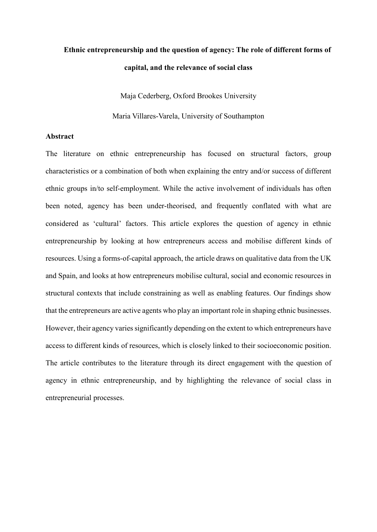# **Ethnic entrepreneurship and the question of agency: The role of different forms of capital, and the relevance of social class**

Maja Cederberg, Oxford Brookes University

Maria Villares-Varela, University of Southampton

# **Abstract**

The literature on ethnic entrepreneurship has focused on structural factors, group characteristics or a combination of both when explaining the entry and/or success of different ethnic groups in/to self-employment. While the active involvement of individuals has often been noted, agency has been under-theorised, and frequently conflated with what are considered as 'cultural' factors. This article explores the question of agency in ethnic entrepreneurship by looking at how entrepreneurs access and mobilise different kinds of resources. Using a forms-of-capital approach, the article draws on qualitative data from the UK and Spain, and looks at how entrepreneurs mobilise cultural, social and economic resources in structural contexts that include constraining as well as enabling features. Our findings show that the entrepreneurs are active agents who play an important role in shaping ethnic businesses. However, their agency varies significantly depending on the extent to which entrepreneurs have access to different kinds of resources, which is closely linked to their socioeconomic position. The article contributes to the literature through its direct engagement with the question of agency in ethnic entrepreneurship, and by highlighting the relevance of social class in entrepreneurial processes.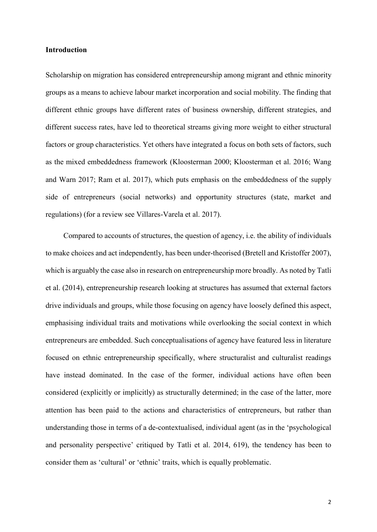#### **Introduction**

Scholarship on migration has considered entrepreneurship among migrant and ethnic minority groups as a means to achieve labour market incorporation and social mobility. The finding that different ethnic groups have different rates of business ownership, different strategies, and different success rates, have led to theoretical streams giving more weight to either structural factors or group characteristics. Yet others have integrated a focus on both sets of factors, such as the mixed embeddedness framework (Kloosterman 2000; Kloosterman et al. 2016; Wang and Warn 2017; Ram et al. 2017), which puts emphasis on the embeddedness of the supply side of entrepreneurs (social networks) and opportunity structures (state, market and regulations) (for a review see Villares-Varela et al. 2017).

Compared to accounts of structures, the question of agency, i.e. the ability of individuals to make choices and act independently, has been under-theorised (Bretell and Kristoffer 2007), which is arguably the case also in research on entrepreneurship more broadly. As noted by Tatli et al. (2014), entrepreneurship research looking at structures has assumed that external factors drive individuals and groups, while those focusing on agency have loosely defined this aspect, emphasising individual traits and motivations while overlooking the social context in which entrepreneurs are embedded. Such conceptualisations of agency have featured less in literature focused on ethnic entrepreneurship specifically, where structuralist and culturalist readings have instead dominated. In the case of the former, individual actions have often been considered (explicitly or implicitly) as structurally determined; in the case of the latter, more attention has been paid to the actions and characteristics of entrepreneurs, but rather than understanding those in terms of a de-contextualised, individual agent (as in the 'psychological and personality perspective' critiqued by Tatli et al. 2014, 619), the tendency has been to consider them as 'cultural' or 'ethnic' traits, which is equally problematic.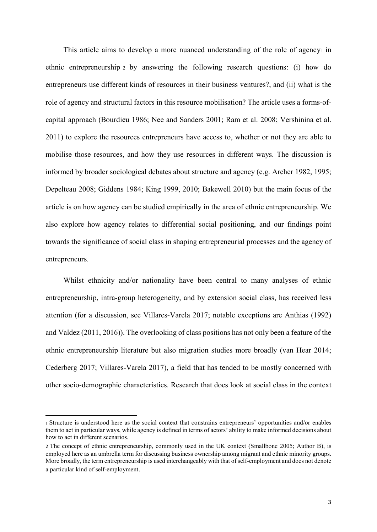This article aims to develop a more nuanced understanding of the role of agency<sub>[1](#page-2-0)</sub> in ethnic entrepreneurship [2](#page-2-1) by answering the following research questions: (i) how do entrepreneurs use different kinds of resources in their business ventures?, and (ii) what is the role of agency and structural factors in this resource mobilisation? The article uses a forms-ofcapital approach (Bourdieu 1986; Nee and Sanders 2001; Ram et al. 2008; Vershinina et al. 2011) to explore the resources entrepreneurs have access to, whether or not they are able to mobilise those resources, and how they use resources in different ways. The discussion is informed by broader sociological debates about structure and agency (e.g. Archer 1982, 1995; Depelteau 2008; Giddens 1984; King 1999, 2010; Bakewell 2010) but the main focus of the article is on how agency can be studied empirically in the area of ethnic entrepreneurship. We also explore how agency relates to differential social positioning, and our findings point towards the significance of social class in shaping entrepreneurial processes and the agency of entrepreneurs.

Whilst ethnicity and/or nationality have been central to many analyses of ethnic entrepreneurship, intra-group heterogeneity, and by extension social class, has received less attention (for a discussion, see Villares-Varela 2017; notable exceptions are Anthias (1992) and Valdez (2011, 2016)). The overlooking of class positions has not only been a feature of the ethnic entrepreneurship literature but also migration studies more broadly (van Hear 2014; Cederberg 2017; Villares-Varela 2017), a field that has tended to be mostly concerned with other socio-demographic characteristics. Research that does look at social class in the context

1

<span id="page-2-0"></span><sup>1</sup> Structure is understood here as the social context that constrains entrepreneurs' opportunities and/or enables them to act in particular ways, while agency is defined in terms of actors' ability to make informed decisions about how to act in different scenarios.

<span id="page-2-1"></span><sup>2</sup> The concept of ethnic entrepreneurship, commonly used in the UK context (Smallbone 2005; Author B), is employed here as an umbrella term for discussing business ownership among migrant and ethnic minority groups. More broadly, the term entrepreneurship is used interchangeably with that of self-employment and does not denote a particular kind of self-employment.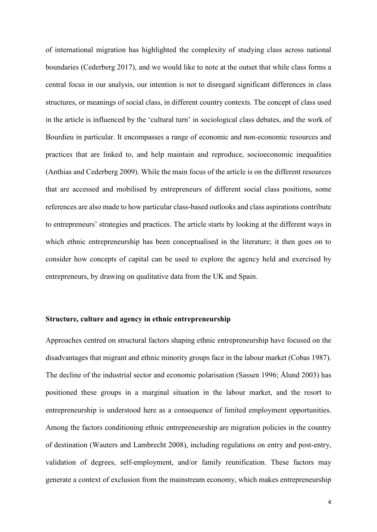of international migration has highlighted the complexity of studying class across national boundaries (Cederberg 2017), and we would like to note at the outset that while class forms a central focus in our analysis, our intention is not to disregard significant differences in class structures, or meanings of social class, in different country contexts. The concept of class used in the article is influenced by the 'cultural turn' in sociological class debates, and the work of Bourdieu in particular. It encompasses a range of economic and non-economic resources and practices that are linked to, and help maintain and reproduce, socioeconomic inequalities (Anthias and Cederberg 2009). While the main focus of the article is on the different resources that are accessed and mobilised by entrepreneurs of different social class positions, some references are also made to how particular class-based outlooks and class aspirations contribute to entrepreneurs' strategies and practices. The article starts by looking at the different ways in which ethnic entrepreneurship has been conceptualised in the literature; it then goes on to consider how concepts of capital can be used to explore the agency held and exercised by entrepreneurs, by drawing on qualitative data from the UK and Spain.

#### **Structure, culture and agency in ethnic entrepreneurship**

Approaches centred on structural factors shaping ethnic entrepreneurship have focused on the disadvantages that migrant and ethnic minority groups face in the labour market (Cobas 1987). The decline of the industrial sector and economic polarisation (Sassen 1996; Ålund 2003) has positioned these groups in a marginal situation in the labour market, and the resort to entrepreneurship is understood here as a consequence of limited employment opportunities. Among the factors conditioning ethnic entrepreneurship are migration policies in the country of destination (Wauters and Lambrecht 2008), including regulations on entry and post-entry, validation of degrees, self-employment, and/or family reunification. These factors may generate a context of exclusion from the mainstream economy, which makes entrepreneurship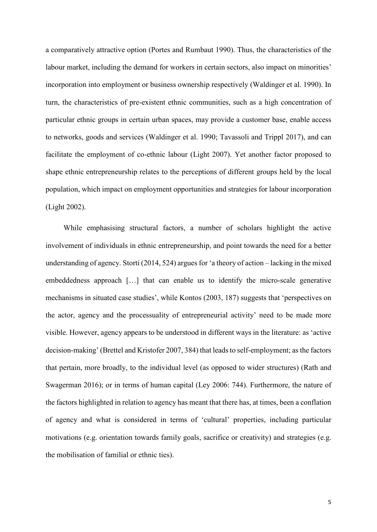a comparatively attractive option (Portes and Rumbaut 1990). Thus, the characteristics of the labour market, including the demand for workers in certain sectors, also impact on minorities' incorporation into employment or business ownership respectively (Waldinger et al. 1990). In turn, the characteristics of pre-existent ethnic communities, such as a high concentration of particular ethnic groups in certain urban spaces, may provide a customer base, enable access to networks, goods and services (Waldinger et al. 1990; Tavassoli and Trippl 2017), and can facilitate the employment of co-ethnic labour (Light 2007). Yet another factor proposed to shape ethnic entrepreneurship relates to the perceptions of different groups held by the local population, which impact on employment opportunities and strategies for labour incorporation (Light 2002).

While emphasising structural factors, a number of scholars highlight the active involvement of individuals in ethnic entrepreneurship, and point towards the need for a better understanding of agency. Storti (2014, 524) argues for 'a theory of action – lacking in the mixed embeddedness approach […] that can enable us to identify the micro-scale generative mechanisms in situated case studies', while Kontos (2003, 187) suggests that 'perspectives on the actor, agency and the processuality of entrepreneurial activity' need to be made more visible. However, agency appears to be understood in different ways in the literature: as 'active decision-making' (Brettel and Kristofer 2007, 384) that leads to self-employment; as the factors that pertain, more broadly, to the individual level (as opposed to wider structures) (Rath and Swagerman 2016); or in terms of human capital (Ley 2006: 744). Furthermore, the nature of the factors highlighted in relation to agency has meant that there has, at times, been a conflation of agency and what is considered in terms of 'cultural' properties, including particular motivations (e.g. orientation towards family goals, sacrifice or creativity) and strategies (e.g. the mobilisation of familial or ethnic ties).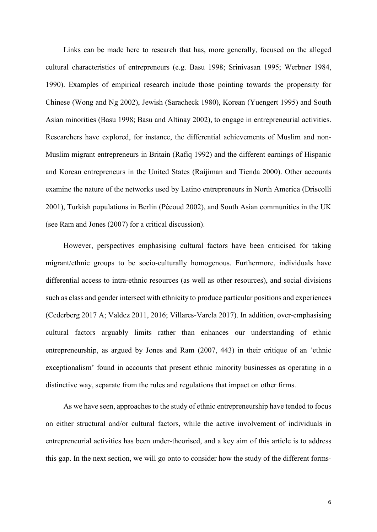Links can be made here to research that has, more generally, focused on the alleged cultural characteristics of entrepreneurs (e.g. Basu 1998; Srinivasan 1995; Werbner 1984, 1990). Examples of empirical research include those pointing towards the propensity for Chinese (Wong and Ng 2002), Jewish (Saracheck 1980), Korean (Yuengert 1995) and South Asian minorities (Basu 1998; Basu and Altinay 2002), to engage in entrepreneurial activities. Researchers have explored, for instance, the differential achievements of Muslim and non-Muslim migrant entrepreneurs in Britain (Rafiq 1992) and the different earnings of Hispanic and Korean entrepreneurs in the United States (Raijiman and Tienda 2000). Other accounts examine the nature of the networks used by Latino entrepreneurs in North America (Driscolli 2001), Turkish populations in Berlin (Pècoud 2002), and South Asian communities in the UK (see Ram and Jones (2007) for a critical discussion).

However, perspectives emphasising cultural factors have been criticised for taking migrant/ethnic groups to be socio-culturally homogenous. Furthermore, individuals have differential access to intra-ethnic resources (as well as other resources), and social divisions such as class and gender intersect with ethnicity to produce particular positions and experiences (Cederberg 2017 A; Valdez 2011, 2016; Villares-Varela 2017). In addition, over-emphasising cultural factors arguably limits rather than enhances our understanding of ethnic entrepreneurship, as argued by Jones and Ram (2007, 443) in their critique of an 'ethnic exceptionalism' found in accounts that present ethnic minority businesses as operating in a distinctive way, separate from the rules and regulations that impact on other firms.

As we have seen, approaches to the study of ethnic entrepreneurship have tended to focus on either structural and/or cultural factors, while the active involvement of individuals in entrepreneurial activities has been under-theorised, and a key aim of this article is to address this gap. In the next section, we will go onto to consider how the study of the different forms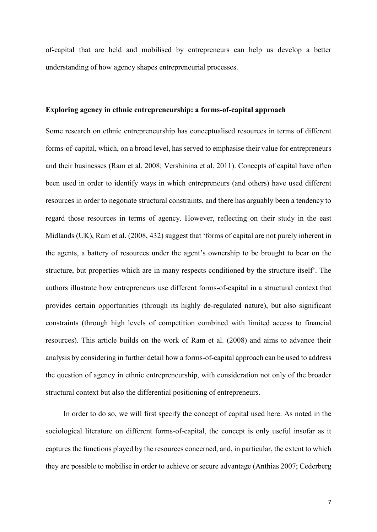of-capital that are held and mobilised by entrepreneurs can help us develop a better understanding of how agency shapes entrepreneurial processes.

#### **Exploring agency in ethnic entrepreneurship: a forms-of-capital approach**

Some research on ethnic entrepreneurship has conceptualised resources in terms of different forms-of-capital, which, on a broad level, has served to emphasise their value for entrepreneurs and their businesses (Ram et al. 2008; Vershinina et al. 2011). Concepts of capital have often been used in order to identify ways in which entrepreneurs (and others) have used different resources in order to negotiate structural constraints, and there has arguably been a tendency to regard those resources in terms of agency. However, reflecting on their study in the east Midlands (UK), Ram et al. (2008, 432) suggest that 'forms of capital are not purely inherent in the agents, a battery of resources under the agent's ownership to be brought to bear on the structure, but properties which are in many respects conditioned by the structure itself'. The authors illustrate how entrepreneurs use different forms-of-capital in a structural context that provides certain opportunities (through its highly de-regulated nature), but also significant constraints (through high levels of competition combined with limited access to financial resources). This article builds on the work of Ram et al. (2008) and aims to advance their analysis by considering in further detail how a forms-of-capital approach can be used to address the question of agency in ethnic entrepreneurship, with consideration not only of the broader structural context but also the differential positioning of entrepreneurs.

In order to do so, we will first specify the concept of capital used here. As noted in the sociological literature on different forms-of-capital, the concept is only useful insofar as it captures the functions played by the resources concerned, and, in particular, the extent to which they are possible to mobilise in order to achieve or secure advantage (Anthias 2007; Cederberg

7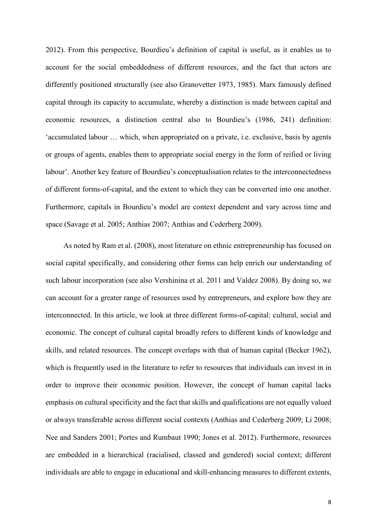2012). From this perspective, Bourdieu's definition of capital is useful, as it enables us to account for the social embeddedness of different resources, and the fact that actors are differently positioned structurally (see also Granovetter 1973, 1985). Marx famously defined capital through its capacity to accumulate, whereby a distinction is made between capital and economic resources, a distinction central also to Bourdieu's (1986, 241) definition: 'accumulated labour … which, when appropriated on a private, i.e. exclusive, basis by agents or groups of agents, enables them to appropriate social energy in the form of reified or living labour'. Another key feature of Bourdieu's conceptualisation relates to the interconnectedness of different forms-of-capital, and the extent to which they can be converted into one another. Furthermore, capitals in Bourdieu's model are context dependent and vary across time and space (Savage et al. 2005; Anthias 2007; Anthias and Cederberg 2009).

As noted by Ram et al. (2008), most literature on ethnic entrepreneurship has focused on social capital specifically, and considering other forms can help enrich our understanding of such labour incorporation (see also Vershinina et al. 2011 and Valdez 2008). By doing so, we can account for a greater range of resources used by entrepreneurs, and explore how they are interconnected. In this article, we look at three different forms-of-capital: cultural, social and economic. The concept of cultural capital broadly refers to different kinds of knowledge and skills, and related resources. The concept overlaps with that of human capital (Becker 1962), which is frequently used in the literature to refer to resources that individuals can invest in in order to improve their economic position. However, the concept of human capital lacks emphasis on cultural specificity and the fact that skills and qualifications are not equally valued or always transferable across different social contexts (Anthias and Cederberg 2009; Li 2008; Nee and Sanders 2001; Portes and Rumbaut 1990; Jones et al. 2012). Furthermore, resources are embedded in a hierarchical (racialised, classed and gendered) social context; different individuals are able to engage in educational and skill-enhancing measures to different extents,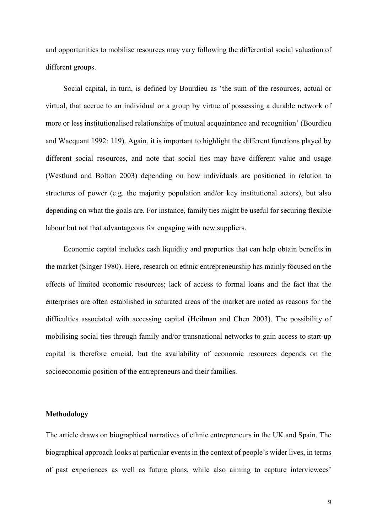and opportunities to mobilise resources may vary following the differential social valuation of different groups.

Social capital, in turn, is defined by Bourdieu as 'the sum of the resources, actual or virtual, that accrue to an individual or a group by virtue of possessing a durable network of more or less institutionalised relationships of mutual acquaintance and recognition' (Bourdieu and Wacquant 1992: 119). Again, it is important to highlight the different functions played by different social resources, and note that social ties may have different value and usage (Westlund and Bolton 2003) depending on how individuals are positioned in relation to structures of power (e.g. the majority population and/or key institutional actors), but also depending on what the goals are. For instance, family ties might be useful for securing flexible labour but not that advantageous for engaging with new suppliers.

Economic capital includes cash liquidity and properties that can help obtain benefits in the market (Singer 1980). Here, research on ethnic entrepreneurship has mainly focused on the effects of limited economic resources; lack of access to formal loans and the fact that the enterprises are often established in saturated areas of the market are noted as reasons for the difficulties associated with accessing capital (Heilman and Chen 2003). The possibility of mobilising social ties through family and/or transnational networks to gain access to start-up capital is therefore crucial, but the availability of economic resources depends on the socioeconomic position of the entrepreneurs and their families.

## **Methodology**

The article draws on biographical narratives of ethnic entrepreneurs in the UK and Spain. The biographical approach looks at particular events in the context of people's wider lives, in terms of past experiences as well as future plans, while also aiming to capture interviewees'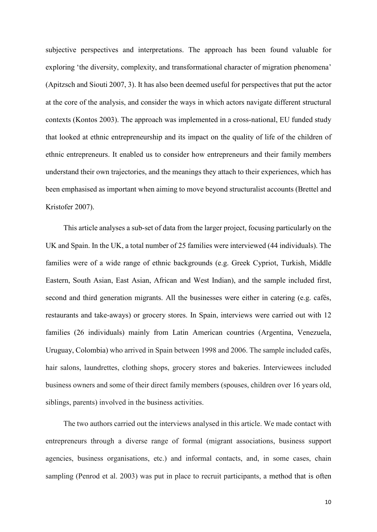subjective perspectives and interpretations. The approach has been found valuable for exploring 'the diversity, complexity, and transformational character of migration phenomena' (Apitzsch and Siouti 2007, 3). It has also been deemed useful for perspectives that put the actor at the core of the analysis, and consider the ways in which actors navigate different structural contexts (Kontos 2003). The approach was implemented in a cross-national, EU funded study that looked at ethnic entrepreneurship and its impact on the quality of life of the children of ethnic entrepreneurs. It enabled us to consider how entrepreneurs and their family members understand their own trajectories, and the meanings they attach to their experiences, which has been emphasised as important when aiming to move beyond structuralist accounts (Brettel and Kristofer 2007).

This article analyses a sub-set of data from the larger project, focusing particularly on the UK and Spain. In the UK, a total number of 25 families were interviewed (44 individuals). The families were of a wide range of ethnic backgrounds (e.g. Greek Cypriot, Turkish, Middle Eastern, South Asian, East Asian, African and West Indian), and the sample included first, second and third generation migrants. All the businesses were either in catering (e.g. cafés, restaurants and take-aways) or grocery stores. In Spain, interviews were carried out with 12 families (26 individuals) mainly from Latin American countries (Argentina, Venezuela, Uruguay, Colombia) who arrived in Spain between 1998 and 2006. The sample included cafés, hair salons, laundrettes, clothing shops, grocery stores and bakeries. Interviewees included business owners and some of their direct family members (spouses, children over 16 years old, siblings, parents) involved in the business activities.

The two authors carried out the interviews analysed in this article. We made contact with entrepreneurs through a diverse range of formal (migrant associations, business support agencies, business organisations, etc.) and informal contacts, and, in some cases, chain sampling (Penrod et al. 2003) was put in place to recruit participants, a method that is often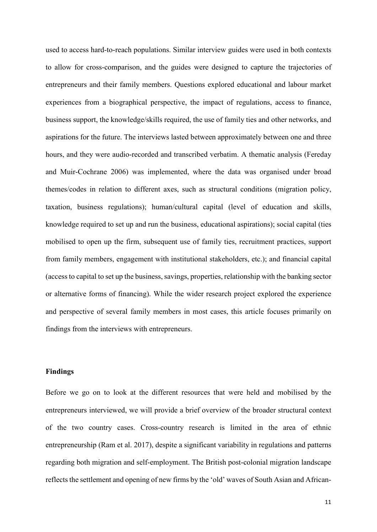used to access hard-to-reach populations. Similar interview guides were used in both contexts to allow for cross-comparison, and the guides were designed to capture the trajectories of entrepreneurs and their family members. Questions explored educational and labour market experiences from a biographical perspective, the impact of regulations, access to finance, business support, the knowledge/skills required, the use of family ties and other networks, and aspirations for the future. The interviews lasted between approximately between one and three hours, and they were audio-recorded and transcribed verbatim. A thematic analysis (Fereday and Muir-Cochrane 2006) was implemented, where the data was organised under broad themes/codes in relation to different axes, such as structural conditions (migration policy, taxation, business regulations); human/cultural capital (level of education and skills, knowledge required to set up and run the business, educational aspirations); social capital (ties mobilised to open up the firm, subsequent use of family ties, recruitment practices, support from family members, engagement with institutional stakeholders, etc.); and financial capital (access to capital to set up the business, savings, properties, relationship with the banking sector or alternative forms of financing). While the wider research project explored the experience and perspective of several family members in most cases, this article focuses primarily on findings from the interviews with entrepreneurs.

# **Findings**

Before we go on to look at the different resources that were held and mobilised by the entrepreneurs interviewed, we will provide a brief overview of the broader structural context of the two country cases. Cross-country research is limited in the area of ethnic entrepreneurship (Ram et al. 2017), despite a significant variability in regulations and patterns regarding both migration and self-employment. The British post-colonial migration landscape reflects the settlement and opening of new firms by the 'old' waves of South Asian and African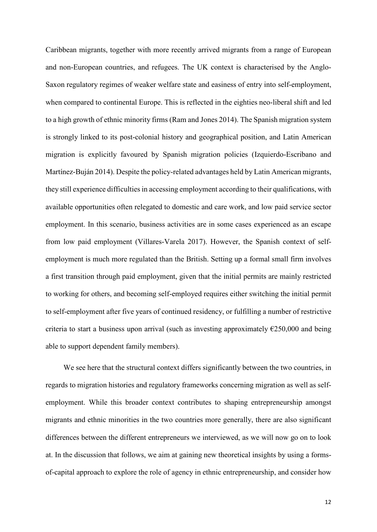Caribbean migrants, together with more recently arrived migrants from a range of European and non-European countries, and refugees. The UK context is characterised by the Anglo-Saxon regulatory regimes of weaker welfare state and easiness of entry into self-employment, when compared to continental Europe. This is reflected in the eighties neo-liberal shift and led to a high growth of ethnic minority firms (Ram and Jones 2014). The Spanish migration system is strongly linked to its post-colonial history and geographical position, and Latin American migration is explicitly favoured by Spanish migration policies (Izquierdo-Escribano and Martínez-Buján 2014). Despite the policy-related advantages held by Latin American migrants, they still experience difficulties in accessing employment according to their qualifications, with available opportunities often relegated to domestic and care work, and low paid service sector employment. In this scenario, business activities are in some cases experienced as an escape from low paid employment (Villares-Varela 2017). However, the Spanish context of selfemployment is much more regulated than the British. Setting up a formal small firm involves a first transition through paid employment, given that the initial permits are mainly restricted to working for others, and becoming self-employed requires either switching the initial permit to self-employment after five years of continued residency, or fulfilling a number of restrictive criteria to start a business upon arrival (such as investing approximately  $\epsilon$ 250,000 and being able to support dependent family members).

We see here that the structural context differs significantly between the two countries, in regards to migration histories and regulatory frameworks concerning migration as well as selfemployment. While this broader context contributes to shaping entrepreneurship amongst migrants and ethnic minorities in the two countries more generally, there are also significant differences between the different entrepreneurs we interviewed, as we will now go on to look at. In the discussion that follows, we aim at gaining new theoretical insights by using a formsof-capital approach to explore the role of agency in ethnic entrepreneurship, and consider how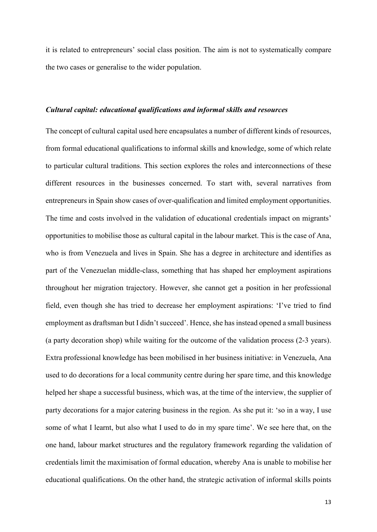it is related to entrepreneurs' social class position. The aim is not to systematically compare the two cases or generalise to the wider population.

#### *Cultural capital: educational qualifications and informal skills and resources*

The concept of cultural capital used here encapsulates a number of different kinds of resources, from formal educational qualifications to informal skills and knowledge, some of which relate to particular cultural traditions. This section explores the roles and interconnections of these different resources in the businesses concerned. To start with, several narratives from entrepreneurs in Spain show cases of over-qualification and limited employment opportunities. The time and costs involved in the validation of educational credentials impact on migrants' opportunities to mobilise those as cultural capital in the labour market. This is the case of Ana, who is from Venezuela and lives in Spain. She has a degree in architecture and identifies as part of the Venezuelan middle-class, something that has shaped her employment aspirations throughout her migration trajectory. However, she cannot get a position in her professional field, even though she has tried to decrease her employment aspirations: 'I've tried to find employment as draftsman but I didn't succeed'. Hence, she has instead opened a small business (a party decoration shop) while waiting for the outcome of the validation process (2-3 years). Extra professional knowledge has been mobilised in her business initiative: in Venezuela, Ana used to do decorations for a local community centre during her spare time, and this knowledge helped her shape a successful business, which was, at the time of the interview, the supplier of party decorations for a major catering business in the region. As she put it: 'so in a way, I use some of what I learnt, but also what I used to do in my spare time'. We see here that, on the one hand, labour market structures and the regulatory framework regarding the validation of credentials limit the maximisation of formal education, whereby Ana is unable to mobilise her educational qualifications. On the other hand, the strategic activation of informal skills points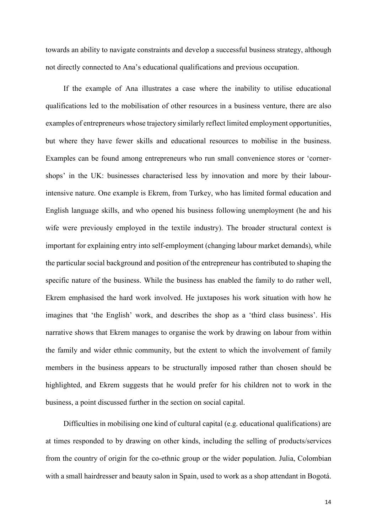towards an ability to navigate constraints and develop a successful business strategy, although not directly connected to Ana's educational qualifications and previous occupation.

If the example of Ana illustrates a case where the inability to utilise educational qualifications led to the mobilisation of other resources in a business venture, there are also examples of entrepreneurs whose trajectory similarly reflect limited employment opportunities, but where they have fewer skills and educational resources to mobilise in the business. Examples can be found among entrepreneurs who run small convenience stores or 'cornershops' in the UK: businesses characterised less by innovation and more by their labourintensive nature. One example is Ekrem, from Turkey, who has limited formal education and English language skills, and who opened his business following unemployment (he and his wife were previously employed in the textile industry). The broader structural context is important for explaining entry into self-employment (changing labour market demands), while the particular social background and position of the entrepreneur has contributed to shaping the specific nature of the business. While the business has enabled the family to do rather well, Ekrem emphasised the hard work involved. He juxtaposes his work situation with how he imagines that 'the English' work, and describes the shop as a 'third class business'. His narrative shows that Ekrem manages to organise the work by drawing on labour from within the family and wider ethnic community, but the extent to which the involvement of family members in the business appears to be structurally imposed rather than chosen should be highlighted, and Ekrem suggests that he would prefer for his children not to work in the business, a point discussed further in the section on social capital.

Difficulties in mobilising one kind of cultural capital (e.g. educational qualifications) are at times responded to by drawing on other kinds, including the selling of products/services from the country of origin for the co-ethnic group or the wider population. Julia, Colombian with a small hairdresser and beauty salon in Spain, used to work as a shop attendant in Bogotá.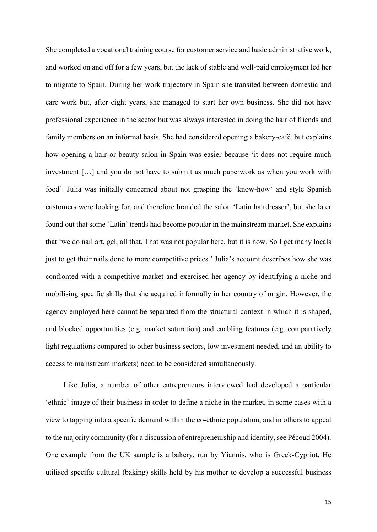She completed a vocational training course for customer service and basic administrative work, and worked on and off for a few years, but the lack of stable and well-paid employment led her to migrate to Spain. During her work trajectory in Spain she transited between domestic and care work but, after eight years, she managed to start her own business. She did not have professional experience in the sector but was always interested in doing the hair of friends and family members on an informal basis. She had considered opening a bakery-café, but explains how opening a hair or beauty salon in Spain was easier because 'it does not require much investment […] and you do not have to submit as much paperwork as when you work with food'. Julia was initially concerned about not grasping the 'know-how' and style Spanish customers were looking for, and therefore branded the salon 'Latin hairdresser', but she later found out that some 'Latin' trends had become popular in the mainstream market. She explains that 'we do nail art, gel, all that. That was not popular here, but it is now. So I get many locals just to get their nails done to more competitive prices.' Julia's account describes how she was confronted with a competitive market and exercised her agency by identifying a niche and mobilising specific skills that she acquired informally in her country of origin. However, the agency employed here cannot be separated from the structural context in which it is shaped, and blocked opportunities (e.g. market saturation) and enabling features (e.g. comparatively light regulations compared to other business sectors, low investment needed, and an ability to access to mainstream markets) need to be considered simultaneously.

Like Julia, a number of other entrepreneurs interviewed had developed a particular 'ethnic' image of their business in order to define a niche in the market, in some cases with a view to tapping into a specific demand within the co-ethnic population, and in others to appeal to the majority community (for a discussion of entrepreneurship and identity, see Pécoud 2004). One example from the UK sample is a bakery, run by Yiannis, who is Greek-Cypriot. He utilised specific cultural (baking) skills held by his mother to develop a successful business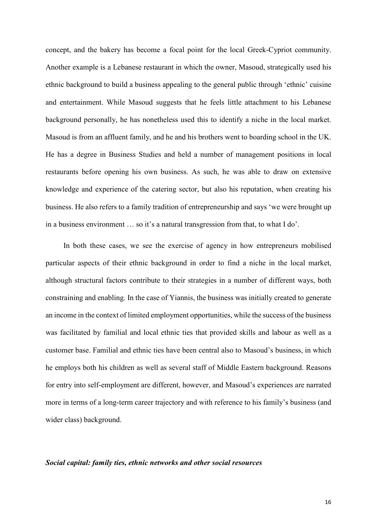concept, and the bakery has become a focal point for the local Greek-Cypriot community. Another example is a Lebanese restaurant in which the owner, Masoud, strategically used his ethnic background to build a business appealing to the general public through 'ethnic' cuisine and entertainment. While Masoud suggests that he feels little attachment to his Lebanese background personally, he has nonetheless used this to identify a niche in the local market. Masoud is from an affluent family, and he and his brothers went to boarding school in the UK. He has a degree in Business Studies and held a number of management positions in local restaurants before opening his own business. As such, he was able to draw on extensive knowledge and experience of the catering sector, but also his reputation, when creating his business. He also refers to a family tradition of entrepreneurship and says 'we were brought up in a business environment … so it's a natural transgression from that, to what I do'.

In both these cases, we see the exercise of agency in how entrepreneurs mobilised particular aspects of their ethnic background in order to find a niche in the local market, although structural factors contribute to their strategies in a number of different ways, both constraining and enabling. In the case of Yiannis, the business was initially created to generate an income in the context of limited employment opportunities, while the success of the business was facilitated by familial and local ethnic ties that provided skills and labour as well as a customer base. Familial and ethnic ties have been central also to Masoud's business, in which he employs both his children as well as several staff of Middle Eastern background. Reasons for entry into self-employment are different, however, and Masoud's experiences are narrated more in terms of a long-term career trajectory and with reference to his family's business (and wider class) background.

#### *Social capital: family ties, ethnic networks and other social resources*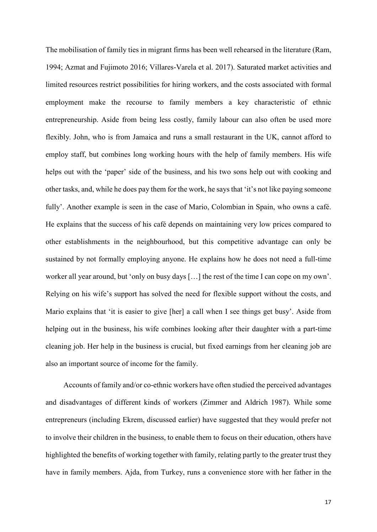The mobilisation of family ties in migrant firms has been well rehearsed in the literature (Ram, 1994; Azmat and Fujimoto 2016; Villares-Varela et al. 2017). Saturated market activities and limited resources restrict possibilities for hiring workers, and the costs associated with formal employment make the recourse to family members a key characteristic of ethnic entrepreneurship. Aside from being less costly, family labour can also often be used more flexibly. John, who is from Jamaica and runs a small restaurant in the UK, cannot afford to employ staff, but combines long working hours with the help of family members. His wife helps out with the 'paper' side of the business, and his two sons help out with cooking and other tasks, and, while he does pay them for the work, he says that 'it's not like paying someone fully'. Another example is seen in the case of Mario, Colombian in Spain, who owns a café. He explains that the success of his café depends on maintaining very low prices compared to other establishments in the neighbourhood, but this competitive advantage can only be sustained by not formally employing anyone. He explains how he does not need a full-time worker all year around, but 'only on busy days […] the rest of the time I can cope on my own'. Relying on his wife's support has solved the need for flexible support without the costs, and Mario explains that 'it is easier to give [her] a call when I see things get busy'. Aside from helping out in the business, his wife combines looking after their daughter with a part-time cleaning job. Her help in the business is crucial, but fixed earnings from her cleaning job are also an important source of income for the family.

Accounts of family and/or co-ethnic workers have often studied the perceived advantages and disadvantages of different kinds of workers (Zimmer and Aldrich 1987). While some entrepreneurs (including Ekrem, discussed earlier) have suggested that they would prefer not to involve their children in the business, to enable them to focus on their education, others have highlighted the benefits of working together with family, relating partly to the greater trust they have in family members. Ajda, from Turkey, runs a convenience store with her father in the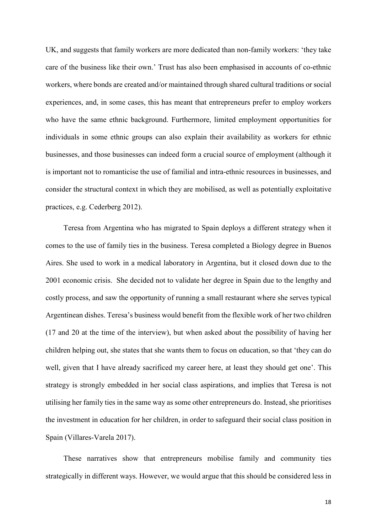UK, and suggests that family workers are more dedicated than non-family workers: 'they take care of the business like their own.' Trust has also been emphasised in accounts of co-ethnic workers, where bonds are created and/or maintained through shared cultural traditions or social experiences, and, in some cases, this has meant that entrepreneurs prefer to employ workers who have the same ethnic background. Furthermore, limited employment opportunities for individuals in some ethnic groups can also explain their availability as workers for ethnic businesses, and those businesses can indeed form a crucial source of employment (although it is important not to romanticise the use of familial and intra-ethnic resources in businesses, and consider the structural context in which they are mobilised, as well as potentially exploitative practices, e.g. Cederberg 2012).

Teresa from Argentina who has migrated to Spain deploys a different strategy when it comes to the use of family ties in the business. Teresa completed a Biology degree in Buenos Aires. She used to work in a medical laboratory in Argentina, but it closed down due to the 2001 economic crisis. She decided not to validate her degree in Spain due to the lengthy and costly process, and saw the opportunity of running a small restaurant where she serves typical Argentinean dishes. Teresa's business would benefit from the flexible work of her two children (17 and 20 at the time of the interview), but when asked about the possibility of having her children helping out, she states that she wants them to focus on education, so that 'they can do well, given that I have already sacrificed my career here, at least they should get one'. This strategy is strongly embedded in her social class aspirations, and implies that Teresa is not utilising her family ties in the same way as some other entrepreneurs do. Instead, she prioritises the investment in education for her children, in order to safeguard their social class position in Spain (Villares-Varela 2017).

These narratives show that entrepreneurs mobilise family and community ties strategically in different ways. However, we would argue that this should be considered less in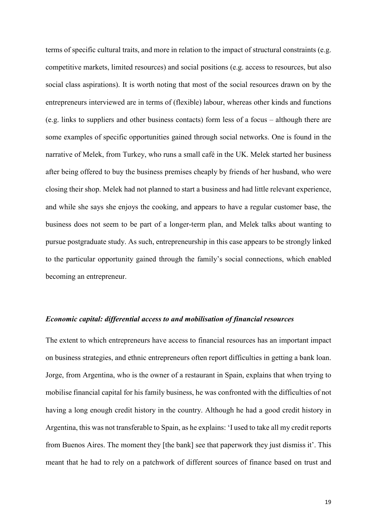terms of specific cultural traits, and more in relation to the impact of structural constraints (e.g. competitive markets, limited resources) and social positions (e.g. access to resources, but also social class aspirations). It is worth noting that most of the social resources drawn on by the entrepreneurs interviewed are in terms of (flexible) labour, whereas other kinds and functions (e.g. links to suppliers and other business contacts) form less of a focus – although there are some examples of specific opportunities gained through social networks. One is found in the narrative of Melek, from Turkey, who runs a small café in the UK. Melek started her business after being offered to buy the business premises cheaply by friends of her husband, who were closing their shop. Melek had not planned to start a business and had little relevant experience, and while she says she enjoys the cooking, and appears to have a regular customer base, the business does not seem to be part of a longer-term plan, and Melek talks about wanting to pursue postgraduate study. As such, entrepreneurship in this case appears to be strongly linked to the particular opportunity gained through the family's social connections, which enabled becoming an entrepreneur.

#### *Economic capital: differential access to and mobilisation of financial resources*

The extent to which entrepreneurs have access to financial resources has an important impact on business strategies, and ethnic entrepreneurs often report difficulties in getting a bank loan. Jorge, from Argentina, who is the owner of a restaurant in Spain, explains that when trying to mobilise financial capital for his family business, he was confronted with the difficulties of not having a long enough credit history in the country. Although he had a good credit history in Argentina, this was not transferable to Spain, as he explains: 'I used to take all my credit reports from Buenos Aires. The moment they [the bank] see that paperwork they just dismiss it'. This meant that he had to rely on a patchwork of different sources of finance based on trust and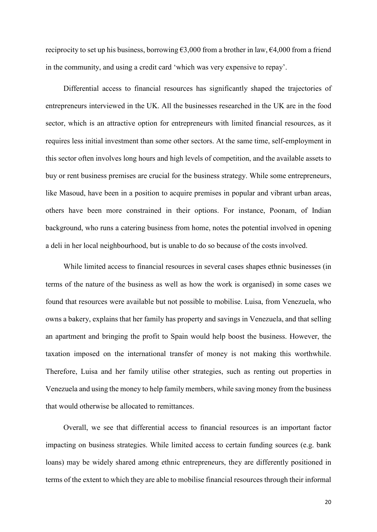reciprocity to set up his business, borrowing  $\epsilon$ 3,000 from a brother in law,  $\epsilon$ 4,000 from a friend in the community, and using a credit card 'which was very expensive to repay'.

Differential access to financial resources has significantly shaped the trajectories of entrepreneurs interviewed in the UK. All the businesses researched in the UK are in the food sector, which is an attractive option for entrepreneurs with limited financial resources, as it requires less initial investment than some other sectors. At the same time, self-employment in this sector often involves long hours and high levels of competition, and the available assets to buy or rent business premises are crucial for the business strategy. While some entrepreneurs, like Masoud, have been in a position to acquire premises in popular and vibrant urban areas, others have been more constrained in their options. For instance, Poonam, of Indian background, who runs a catering business from home, notes the potential involved in opening a deli in her local neighbourhood, but is unable to do so because of the costs involved.

While limited access to financial resources in several cases shapes ethnic businesses (in terms of the nature of the business as well as how the work is organised) in some cases we found that resources were available but not possible to mobilise. Luisa, from Venezuela, who owns a bakery, explains that her family has property and savings in Venezuela, and that selling an apartment and bringing the profit to Spain would help boost the business. However, the taxation imposed on the international transfer of money is not making this worthwhile. Therefore, Luisa and her family utilise other strategies, such as renting out properties in Venezuela and using the money to help family members, while saving money from the business that would otherwise be allocated to remittances.

Overall, we see that differential access to financial resources is an important factor impacting on business strategies. While limited access to certain funding sources (e.g. bank loans) may be widely shared among ethnic entrepreneurs, they are differently positioned in terms of the extent to which they are able to mobilise financial resources through their informal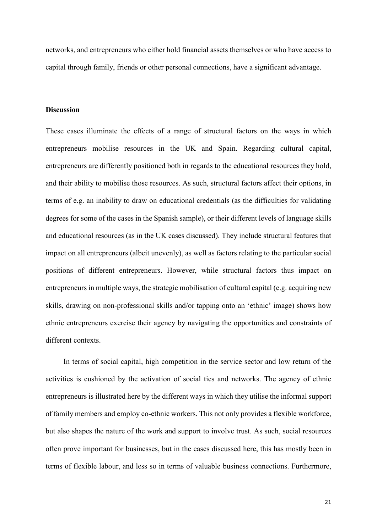networks, and entrepreneurs who either hold financial assets themselves or who have access to capital through family, friends or other personal connections, have a significant advantage.

#### **Discussion**

These cases illuminate the effects of a range of structural factors on the ways in which entrepreneurs mobilise resources in the UK and Spain. Regarding cultural capital, entrepreneurs are differently positioned both in regards to the educational resources they hold, and their ability to mobilise those resources. As such, structural factors affect their options, in terms of e.g. an inability to draw on educational credentials (as the difficulties for validating degrees for some of the cases in the Spanish sample), or their different levels of language skills and educational resources (as in the UK cases discussed). They include structural features that impact on all entrepreneurs (albeit unevenly), as well as factors relating to the particular social positions of different entrepreneurs. However, while structural factors thus impact on entrepreneurs in multiple ways, the strategic mobilisation of cultural capital (e.g. acquiring new skills, drawing on non-professional skills and/or tapping onto an 'ethnic' image) shows how ethnic entrepreneurs exercise their agency by navigating the opportunities and constraints of different contexts.

In terms of social capital, high competition in the service sector and low return of the activities is cushioned by the activation of social ties and networks. The agency of ethnic entrepreneurs is illustrated here by the different ways in which they utilise the informal support of family members and employ co-ethnic workers. This not only provides a flexible workforce, but also shapes the nature of the work and support to involve trust. As such, social resources often prove important for businesses, but in the cases discussed here, this has mostly been in terms of flexible labour, and less so in terms of valuable business connections. Furthermore,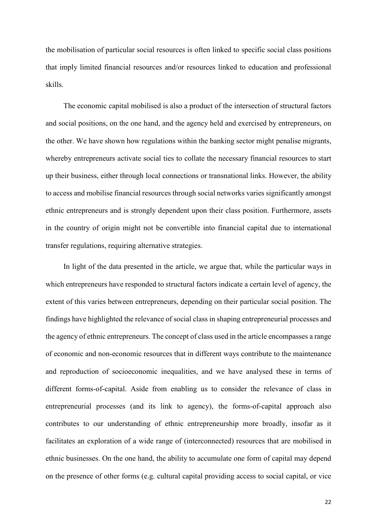the mobilisation of particular social resources is often linked to specific social class positions that imply limited financial resources and/or resources linked to education and professional skills.

The economic capital mobilised is also a product of the intersection of structural factors and social positions, on the one hand, and the agency held and exercised by entrepreneurs, on the other. We have shown how regulations within the banking sector might penalise migrants, whereby entrepreneurs activate social ties to collate the necessary financial resources to start up their business, either through local connections or transnational links. However, the ability to access and mobilise financial resources through social networks varies significantly amongst ethnic entrepreneurs and is strongly dependent upon their class position. Furthermore, assets in the country of origin might not be convertible into financial capital due to international transfer regulations, requiring alternative strategies.

In light of the data presented in the article, we argue that, while the particular ways in which entrepreneurs have responded to structural factors indicate a certain level of agency, the extent of this varies between entrepreneurs, depending on their particular social position. The findings have highlighted the relevance of social class in shaping entrepreneurial processes and the agency of ethnic entrepreneurs. The concept of class used in the article encompasses a range of economic and non-economic resources that in different ways contribute to the maintenance and reproduction of socioeconomic inequalities, and we have analysed these in terms of different forms-of-capital. Aside from enabling us to consider the relevance of class in entrepreneurial processes (and its link to agency), the forms-of-capital approach also contributes to our understanding of ethnic entrepreneurship more broadly, insofar as it facilitates an exploration of a wide range of (interconnected) resources that are mobilised in ethnic businesses. On the one hand, the ability to accumulate one form of capital may depend on the presence of other forms (e.g. cultural capital providing access to social capital, or vice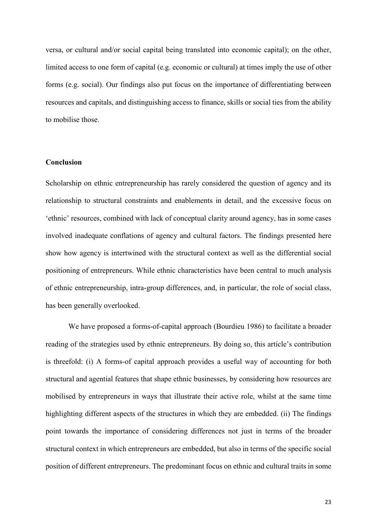versa, or cultural and/or social capital being translated into economic capital); on the other, limited access to one form of capital (e.g. economic or cultural) at times imply the use of other forms (e.g. social). Our findings also put focus on the importance of differentiating between resources and capitals, and distinguishing access to finance, skills or social ties from the ability to mobilise those.

# **Conclusion**

Scholarship on ethnic entrepreneurship has rarely considered the question of agency and its relationship to structural constraints and enablements in detail, and the excessive focus on 'ethnic' resources, combined with lack of conceptual clarity around agency, has in some cases involved inadequate conflations of agency and cultural factors. The findings presented here show how agency is intertwined with the structural context as well as the differential social positioning of entrepreneurs. While ethnic characteristics have been central to much analysis of ethnic entrepreneurship, intra-group differences, and, in particular, the role of social class, has been generally overlooked.

We have proposed a forms-of-capital approach (Bourdieu 1986) to facilitate a broader reading of the strategies used by ethnic entrepreneurs. By doing so, this article's contribution is threefold: (i) A forms-of capital approach provides a useful way of accounting for both structural and agential features that shape ethnic businesses, by considering how resources are mobilised by entrepreneurs in ways that illustrate their active role, whilst at the same time highlighting different aspects of the structures in which they are embedded. (ii) The findings point towards the importance of considering differences not just in terms of the broader structural context in which entrepreneurs are embedded, but also in terms of the specific social position of different entrepreneurs. The predominant focus on ethnic and cultural traits in some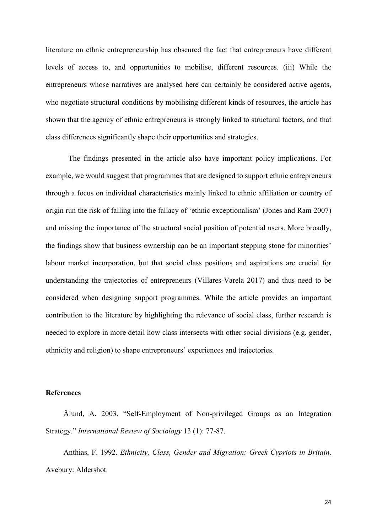literature on ethnic entrepreneurship has obscured the fact that entrepreneurs have different levels of access to, and opportunities to mobilise, different resources. (iii) While the entrepreneurs whose narratives are analysed here can certainly be considered active agents, who negotiate structural conditions by mobilising different kinds of resources, the article has shown that the agency of ethnic entrepreneurs is strongly linked to structural factors, and that class differences significantly shape their opportunities and strategies.

The findings presented in the article also have important policy implications. For example, we would suggest that programmes that are designed to support ethnic entrepreneurs through a focus on individual characteristics mainly linked to ethnic affiliation or country of origin run the risk of falling into the fallacy of 'ethnic exceptionalism' (Jones and Ram 2007) and missing the importance of the structural social position of potential users. More broadly, the findings show that business ownership can be an important stepping stone for minorities' labour market incorporation, but that social class positions and aspirations are crucial for understanding the trajectories of entrepreneurs (Villares-Varela 2017) and thus need to be considered when designing support programmes. While the article provides an important contribution to the literature by highlighting the relevance of social class, further research is needed to explore in more detail how class intersects with other social divisions (e.g. gender, ethnicity and religion) to shape entrepreneurs' experiences and trajectories.

## **References**

Ålund, A. 2003. "Self-Employment of Non-privileged Groups as an Integration Strategy." *International Review of Sociology* 13 (1): 77-87.

Anthias, F. 1992. *Ethnicity, Class, Gender and Migration: Greek Cypriots in Britain*. Avebury: Aldershot.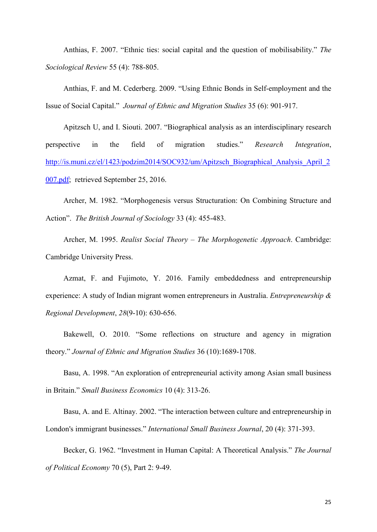Anthias, F. 2007. "Ethnic ties: social capital and the question of mobilisability." *The Sociological Review* 55 (4): 788-805.

Anthias, F. and M. Cederberg. 2009. "Using Ethnic Bonds in Self-employment and the Issue of Social Capital." *Journal of Ethnic and Migration Studies* 35 (6): 901-917.

Apitzsch U, and I. Siouti. 2007. "Biographical analysis as an interdisciplinary research perspective in the field of migration studies." *Research Integration*, [http://is.muni.cz/el/1423/podzim2014/SOC932/um/Apitzsch\\_Biographical\\_Analysis\\_April\\_2](http://is.muni.cz/el/1423/podzim2014/SOC932/um/Apitzsch_Biographical_Analysis_April_2007.pdf) [007.pdf;](http://is.muni.cz/el/1423/podzim2014/SOC932/um/Apitzsch_Biographical_Analysis_April_2007.pdf) retrieved September 25, 2016.

Archer, M. 1982. "Morphogenesis versus Structuration: On Combining Structure and Action". *The British Journal of Sociology* 33 (4): 455-483.

Archer, M. 1995. *Realist Social Theory – The Morphogenetic Approach*. Cambridge: Cambridge University Press.

Azmat, F. and Fujimoto, Y. 2016. Family embeddedness and entrepreneurship experience: A study of Indian migrant women entrepreneurs in Australia. *Entrepreneurship & Regional Development*, *28*(9-10): 630-656.

Bakewell, O. 2010. "Some reflections on structure and agency in migration theory." *Journal of Ethnic and Migration Studies* 36 (10):1689-1708.

Basu, A. 1998. "An exploration of entrepreneurial activity among Asian small business in Britain." *Small Business Economics* 10 (4): 313-26.

Basu, A. and E. Altinay. 2002. "The interaction between culture and entrepreneurship in London's immigrant businesses." *International Small Business Journal*, 20 (4): 371-393.

Becker, G. 1962. "Investment in Human Capital: A Theoretical Analysis." *The Journal of Political Economy* 70 (5), Part 2: 9-49.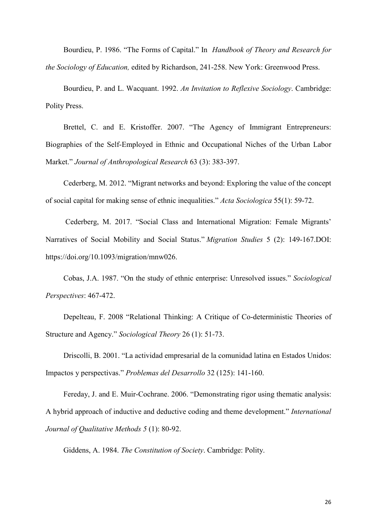Bourdieu, P. 1986. "The Forms of Capital." In *Handbook of Theory and Research for the Sociology of Education,* edited by Richardson, 241-258. New York: Greenwood Press.

Bourdieu, P. and L. Wacquant. 1992. *An Invitation to Reflexive Sociology*. Cambridge: Polity Press.

Brettel, C. and E. Kristoffer. 2007. "The Agency of Immigrant Entrepreneurs: Biographies of the Self-Employed in Ethnic and Occupational Niches of the Urban Labor Market." *Journal of Anthropological Research* 63 (3): 383-397.

Cederberg, M. 2012. "Migrant networks and beyond: Exploring the value of the concept of social capital for making sense of ethnic inequalities." *Acta Sociologica* 55(1): 59-72.

Cederberg, M. 2017. "Social Class and International Migration: Female Migrants' Narratives of Social Mobility and Social Status." *Migration Studies* 5 (2): 149-167.DOI: [https://doi.org/10.1093/migration/mnw026.](https://doi.org/10.1093/migration/mnw026)

Cobas, J.A. 1987. "On the study of ethnic enterprise: Unresolved issues." *Sociological Perspectives*: 467-472.

Depelteau, F. 2008 "Relational Thinking: A Critique of Co-deterministic Theories of Structure and Agency." *Sociological Theory* 26 (1): 51-73.

Driscolli, B. 2001. "La actividad empresarial de la comunidad latina en Estados Unidos: Impactos y perspectivas." *Problemas del Desarrollo* 32 (125): 141-160.

Fereday, J. and E. Muir-Cochrane. 2006. "Demonstrating rigor using thematic analysis: A hybrid approach of inductive and deductive coding and theme development." *International Journal of Qualitative Methods 5* (1): 80-92.

Giddens, A. 1984. *The Constitution of Society*. Cambridge: Polity.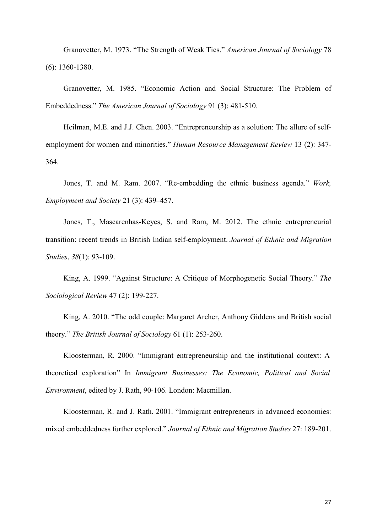Granovetter, M. 1973. "The Strength of Weak Ties." *American Journal of Sociology* 78 (6): 1360-1380.

Granovetter, M. 1985. "Economic Action and Social Structure: The Problem of Embeddedness." *The American Journal of Sociology* 91 (3): 481-510.

Heilman, M.E. and J.J. Chen. 2003. "Entrepreneurship as a solution: The allure of selfemployment for women and minorities." *Human Resource Management Review* 13 (2): 347- 364.

Jones, T. and M. Ram. 2007. "Re-embedding the ethnic business agenda." *Work, Employment and Society* 21 (3): 439–457.

Jones, T., Mascarenhas-Keyes, S. and Ram, M. 2012. The ethnic entrepreneurial transition: recent trends in British Indian self-employment. *Journal of Ethnic and Migration Studies*, *38*(1): 93-109.

King, A. 1999. "Against Structure: A Critique of Morphogenetic Social Theory." *The Sociological Review* 47 (2): 199-227.

King, A. 2010. "The odd couple: Margaret Archer, Anthony Giddens and British social theory." *The British Journal of Sociology* 61 (1): 253-260.

Kloosterman, R. 2000. "Immigrant entrepreneurship and the institutional context: A theoretical exploration" In *Immigrant Businesses: The Economic, Political and Social Environment*, edited by J. Rath, 90-106. London: Macmillan.

Kloosterman, R. and J. Rath. 2001. "Immigrant entrepreneurs in advanced economies: mixed embeddedness further explored." *Journal of Ethnic and Migration Studies* 27: 189-201.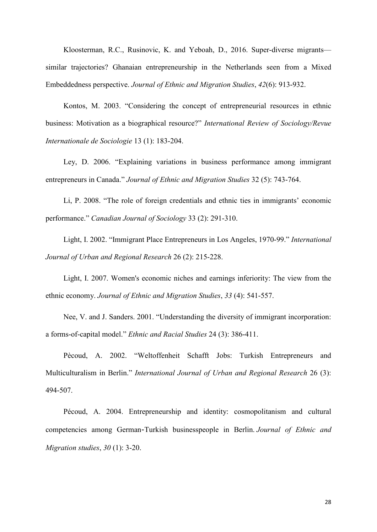Kloosterman, R.C., Rusinovic, K. and Yeboah, D., 2016. Super-diverse migrants similar trajectories? Ghanaian entrepreneurship in the Netherlands seen from a Mixed Embeddedness perspective. *Journal of Ethnic and Migration Studies*, *42*(6): 913-932.

Kontos, M. 2003. "Considering the concept of entrepreneurial resources in ethnic business: Motivation as a biographical resource?" *International Review of Sociology/Revue Internationale de Sociologie* 13 (1): 183-204.

Ley, D. 2006. "Explaining variations in business performance among immigrant entrepreneurs in Canada." *Journal of Ethnic and Migration Studies* 32 (5): 743-764.

Li, P. 2008. "The role of foreign credentials and ethnic ties in immigrants' economic performance." *Canadian Journal of Sociology* 33 (2): 291-310.

Light, I. 2002. "Immigrant Place Entrepreneurs in Los Angeles, 1970-99." *International Journal of Urban and Regional Research* 26 (2): 215-228.

Light, I. 2007. Women's economic niches and earnings inferiority: The view from the ethnic economy. *Journal of Ethnic and Migration Studies*, *33* (4): 541-557.

Nee, V. and J. Sanders. 2001. "Understanding the diversity of immigrant incorporation: a forms-of-capital model." *Ethnic and Racial Studies* 24 (3): 386-411.

Pècoud, A. 2002. "Weltoffenheit Schafft Jobs: Turkish Entrepreneurs and Multiculturalism in Berlin." *International Journal of Urban and Regional Research* 26 (3): 494-507.

Pécoud, A. 2004. Entrepreneurship and identity: cosmopolitanism and cultural competencies among German‐Turkish businesspeople in Berlin. *Journal of Ethnic and Migration studies*, *30* (1): 3-20.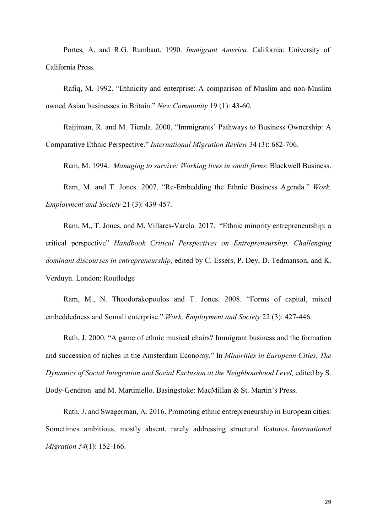Portes, A. and R.G. Rumbaut. 1990. *Immigrant America.* California: University of California Press.

Rafiq, M. 1992. "Ethnicity and enterprise: A comparison of Muslim and non-Muslim owned Asian businesses in Britain." *New Community* 19 (1): 43-60.

Raijiman, R. and M. Tienda. 2000. "Immigrants' Pathways to Business Ownership: A Comparative Ethnic Perspective." *International Migration Review* 34 (3): 682-706.

Ram, M. 1994. *Managing to survive: Working lives in small firms*. Blackwell Business.

Ram, M. and T. Jones. 2007. "Re-Embedding the Ethnic Business Agenda." *Work, Employment and Society* 21 (3): 439-457.

Ram, M., T. Jones, and M. Villares-Varela. 2017. "Ethnic minority entrepreneurship: a critical perspective" *Handbook Critical Perspectives on Entrepreneurship. Challenging dominant discourses in entrepreneurship*, edited by C. Essers, P. Dey, D. Tedmanson, and K. Verduyn. London: Routledge

Ram, M., N. Theodorakopoulos and T. Jones. 2008. "Forms of capital, mixed embeddedness and Somali enterprise." *Work, Employment and Society* 22 (3): 427-446.

Rath, J. 2000. "A game of ethnic musical chairs? Immigrant business and the formation and succession of niches in the Amsterdam Economy." In *Minorities in European Cities. The Dynamics of Social Integration and Social Exclusion at the Neighbourhood Level,* edited by S. Body-Gendron and M. Martiniello. Basingstoke: MacMillan & St. Martin's Press.

Rath, J. and Swagerman, A. 2016. Promoting ethnic entrepreneurship in European cities: Sometimes ambitious, mostly absent, rarely addressing structural features. *International Migration 54*(1): 152-166.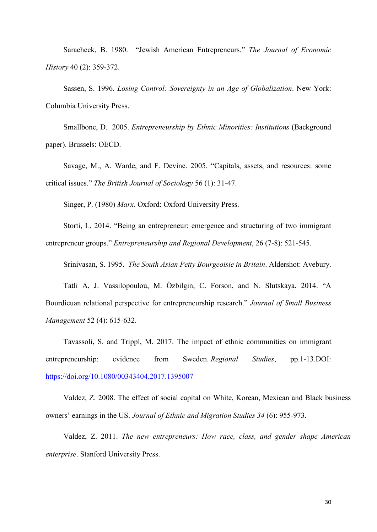Saracheck, B. 1980. "Jewish American Entrepreneurs." *The Journal of Economic History* 40 (2): 359-372.

Sassen, S. 1996. *Losing Control: Sovereignty in an Age of Globalization*. New York: Columbia University Press.

Smallbone, D. 2005. *Entrepreneurship by Ethnic Minorities: Institutions* (Background paper). Brussels: OECD.

Savage, M., A. Warde, and F. Devine. 2005. "Capitals, assets, and resources: some critical issues." *The British Journal of Sociology* 56 (1): 31-47.

Singer, P. (1980) *Marx.* Oxford: Oxford University Press.

Storti, L. 2014. "Being an entrepreneur: emergence and structuring of two immigrant entrepreneur groups." *Entrepreneurship and Regional Development*, 26 (7-8): 521-545.

Srinivasan, S. 1995. *The South Asian Petty Bourgeoisie in Britain*. Aldershot: Avebury.

Tatli A, J. Vassilopoulou, M. Özbilgin, C. Forson, and N. Slutskaya. 2014. "A Bourdieuan relational perspective for entrepreneurship research." *Journal of Small Business Management* 52 (4): 615-632.

Tavassoli, S. and Trippl, M. 2017. The impact of ethnic communities on immigrant entrepreneurship: evidence from Sweden. *Regional Studies*, pp.1-13.DOI: <https://doi.org/10.1080/00343404.2017.1395007>

Valdez, Z. 2008. The effect of social capital on White, Korean, Mexican and Black business owners' earnings in the US. *Journal of Ethnic and Migration Studies 34* (6): 955-973.

Valdez, Z. 2011. *The new entrepreneurs: How race, class, and gender shape American enterprise*. Stanford University Press.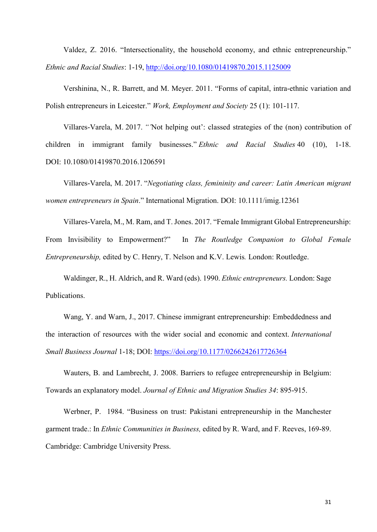Valdez, Z. 2016. "Intersectionality, the household economy, and ethnic entrepreneurship." *Ethnic and Racial Studies*: 1-19,<http://doi.org/10.1080/01419870.2015.1125009>

Vershinina, N., R. Barrett, and M. Meyer. 2011. "Forms of capital, intra-ethnic variation and Polish entrepreneurs in Leicester." *Work, Employment and Society* 25 (1): 101-117.

Villares-Varela, M. 2017. *"'*Not helping out': classed strategies of the (non) contribution of children in immigrant family businesses." *Ethnic and Racial Studies* 40 (10), 1-18. DOI: [10.1080/01419870.2016.1206591](http://dx.doi.org/10.1080/01419870.2016.1206591)

Villares-Varela, M. 2017. "*[Negotiating class, femininity and career: Latin American migrant](https://eprints.soton.ac.uk/cgi/eprintbypureuuid?uuid=709fa605-c53a-491e-8b19-aeff3d45e2e3)  [women entrepreneurs in Spain](https://eprints.soton.ac.uk/cgi/eprintbypureuuid?uuid=709fa605-c53a-491e-8b19-aeff3d45e2e3)*." International Migration. DOI: [10.1111/imig.12361](http://dx.doi.org/10.1111/imig.12361)

Villares-Varela, M., M. Ram, and T. Jones. 2017. "Female Immigrant Global Entrepreneurship: From Invisibility to Empowerment?" In *The Routledge Companion to Global Female Entrepreneurship,* edited by C. Henry, T. Nelson and K.V. Lewis*.* London: Routledge.

Waldinger, R., H. Aldrich, and R. Ward (eds). 1990. *Ethnic entrepreneurs.* London: Sage Publications.

Wang, Y. and Warn, J., 2017. Chinese immigrant entrepreneurship: Embeddedness and the interaction of resources with the wider social and economic and context. *International Small Business Journal* 1-18; DOI:<https://doi.org/10.1177/0266242617726364>

Wauters, B. and Lambrecht, J. 2008. Barriers to refugee entrepreneurship in Belgium: Towards an explanatory model. *Journal of Ethnic and Migration Studies 34*: 895-915.

Werbner, P. 1984. "Business on trust: Pakistani entrepreneurship in the Manchester garment trade.: In *Ethnic Communities in Business,* edited by R. Ward, and F. Reeves, 169-89. Cambridge: Cambridge University Press.